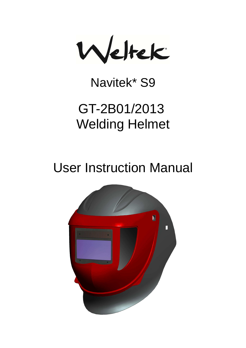Weltek

## Navitek\* S9

# GT-2B01/2013 **Welding Helmet**

# **User Instruction Manual**

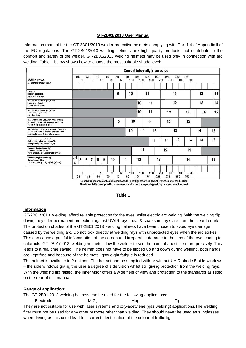#### **GT-2B01/2013 User Manual**

Information manual for the GT-2B01/2013 welder protective helmets complying with Par. 1.4 of Appendix ll of the EC regulations. The GT-2B01/2013 welding helmets are high quality products that contribute to the comfort and safety of the welder. GT-2B01/2013 welding helmets may be used only in connection with arc welding. Table 1 below shows how to choose the most suitable shade level:

|                                                                                                                                                    | <b>Current internally in amperes</b> |     |     |   |    |    |          |          |          |     |            |     |            |     |            |          |     |     |     |  |  |    |    |
|----------------------------------------------------------------------------------------------------------------------------------------------------|--------------------------------------|-----|-----|---|----|----|----------|----------|----------|-----|------------|-----|------------|-----|------------|----------|-----|-----|-----|--|--|----|----|
| <b>Welding process</b><br>Or related techniques                                                                                                    |                                      | 0.5 | 2.5 | 5 | 10 | 15 | 20<br>30 | 40<br>60 | 80       | 100 | 125<br>150 | 175 | 225<br>200 | 250 | 275<br>300 | 350      | 400 | 450 | 500 |  |  |    |    |
| E manual<br>Flux core electrodes<br>Fluxed stick electrodes                                                                                        |                                      |     |     |   |    |    |          | 9        |          | 10  |            | 11  |            |     | 12         |          |     |     | 13  |  |  |    | 14 |
| MIG / Metal-Inert-Gas Argon (Ar/He)<br>Steels, alloyed steels,<br>Copper & its alloys etc.                                                         | 12<br>13<br>11<br>10                 |     |     |   |    |    |          |          | 14       |     |            |     |            |     |            |          |     |     |     |  |  |    |    |
| MIG / Metal-Inert-Gas Argon (Ar/He)<br>Aluminium, copper, nickel<br>And other alloys.                                                              | 10<br>11<br>12<br>13                 |     |     |   |    |    |          |          | 14<br>15 |     |            |     |            |     |            |          |     |     |     |  |  |    |    |
| TIG / Tungsten-Inert Gas Argon (Ar/H2) (An/He)<br>All weldable metals such as: steels, aluminium,<br>Copper, nickel and their alloys.              |                                      |     |     |   |    |    |          | 9        |          | 10  |            | 11  |            |     |            | 12<br>13 |     |     |     |  |  |    |    |
| MAG / Metal-active Gas(An/Co2O2) (An/Co2/He/H2)<br>Construction Steel, hardened & tempered steels<br>Cr-Ni-steel, Cr-steel & other alloyed steels. | 10                                   |     |     |   |    | 11 |          | 12       |          |     | 13         |     |            | 14  |            |          | 15  |     |     |  |  |    |    |
| Electric arc compressed air joining<br>(Melt joining) carbon electrodes (O2)<br>Flame grooving compressed air (O2)                                 | 12<br>13<br>10<br>11                 |     |     |   |    |    | 14       | 15       |          |     |            |     |            |     |            |          |     |     |     |  |  |    |    |
| Plasma cutting (fusion cutting)<br>All weldable metals see WIG<br>Centre and outer gas: Argon (Ar/H2) (Ar/He)                                      | 11<br>12<br>13                       |     |     |   |    |    |          |          |          |     |            |     |            |     |            |          |     |     |     |  |  |    |    |
| Plasma cutting (Fusion cutting)<br>Micro-plasma welding<br>Centre and outer gas: Argon (Ar/H2) (Ar/He)                                             | 2.5<br>4                             | 5   | 6   | 7 | 8  | 9  | 10       | 11       |          |     | 12         |     | 13         |     |            | 14       |     |     |     |  |  | 15 |    |
|                                                                                                                                                    |                                      | 0.5 | 2.5 |   | 10 | 15 | 30<br>20 | 60<br>40 | 80       | 100 | 150<br>125 | 175 | 200<br>225 | 250 | 300<br>275 | 350      | 400 | 450 | 500 |  |  |    |    |

Depending upon the application conditions, the next highest or next lowest protection level can be used. The darker fields correspond to those areas in which the corresponding welding process cannot be used.

#### **Table 1**

#### **Information**

GT-2B01/2013 welding afford reliable protection for the eyes whilst electric arc welding. With the welding flip down, they offer permanent protection against UV/IR rays, heat & sparks in any state from the clear to dark. The protection shades of the GT-2B01/2013 welding helmets have been chosen to avoid eye damage caused by the welding arc. Do not look directly at welding rays with unprotected eyes when the arc strikes. This can cause a painful inflammation of the cornea and irreparable damage to the lens of the eye leading to cataracts. GT-2B01/2013 welding helmets allow the welder to see the point of arc strike more precisely. This leads to a real time saving. The helmet does not have to be flipped up and down during welding, both hands are kept free and because of the helmets lightweight fatigue is reduced.

The helmet is available in 2 options. The helmet can be supplied with or without UVIR shade 5 side windows – the side windows giving the user a degree of side vision whilst still giving protection from the welding rays. With the welding flip raised, the inner visor offers a wide field of view and protection to the standards as listed on the rear of this manual.

#### **Range of application:**

The GT-2B01/2013 welding helmets can be used for the following applications:

Electrode, MIG, Mag, Mag, Tig They are not suitable for use with laser systems and oxy-acetylene (gas welding) applications.The welding filter must not be used for any other purpose other than welding. They should never be used as sunglasses when driving as this could lead to incorrect identification of the colour of traffic light.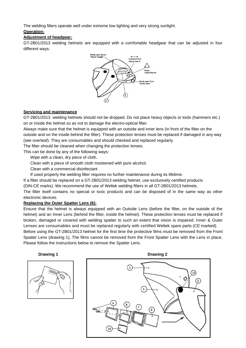The welding filters operate well under extreme low lighting and very strong sunlight.

#### **Operation:**

#### **Adjustment of headgear:**

GT-2B01/2013 welding helmets are equipped with a comfortable headgear that can be adjusted in four different ways.



#### **Servicing and maintenance**

GT-2B01/2013 welding helmets should not be dropped. Do not place heavy objects or tools (hammers etc.) on or inside the helmet so as not to damage the electro-optical filter.

Always make sure that the helmet is equipped with an outside and inner lens (in front of the filter on the outside and on the inside behind the filter). These protection lenses must be replaced if damaged in any way (see overleaf). They are consumables and should checked and replaced regularly.

The filter should be cleaned when changing the protection lenses.

This can be done by any of the following ways:

Wipe with a clean, dry piece of cloth.

Clean with a piece of smooth cloth moistened with pure alcohol.

Clean with a commercial disinfectant

If used properly the welding filter requires no further maintenance during its lifetime.

If a filter should be replaced on a GT-2B01/2013 welding helmet, use exclusively certified products

(DIN-CE marks). We recommend the use of Weltek welding filters in all GT-2B01/2013 helmets.

The filter itself contains no special or toxic products and can be disposed of in the same way as other electronic devices.

#### **Replacing the Outer Spatter Lens (6):**

Ensure that the helmet is always equipped with an Outside Lens (before the filter, on the outside of the helmet) and an Inner Lens (behind the filter, inside the helmet). These protection lenses must be replaced if broken, damaged or covered with welding spatter to such an extent that vision is impaired. Inner & Outer Lenses are consumables and must be replaced regularly with certified Weltek spare parts (CE marked).

Before using the GT-2B01/2013 helmet for the first time the protective films must be removed from the Front Spatter Lens (drawing 1), The films cannot be removed from the Front Spatter Lens with the Lens in place, Please follow the instructions below to remove the Spatter Lens.



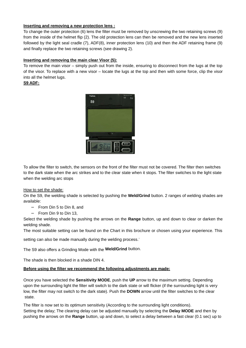#### **Inserting and removing a new protection lens :**

To change the outer protection (6) lens the filter must be removed by unscrewing the two retaining screws (9) from the inside of the helmet flip (2). The old protection lens can then be removed and the new lens inserted followed by the light seal cradle (7), ADF(8), inner protection lens (10) and then the ADF retaining frame (9) and finally replace the two retaining screws (see drawing 2).

#### **Inserting and removing the main clear Visor (5):**

To remove the main visor – simply push out from the inside, ensuring to disconnect from the lugs at the top of the visor. To replace with a new visor – locate the lugs at the top and then with some force, clip the visor into all the helmet lugs.

**S9 ADF:**



To allow the filter to switch, the sensors on the front of the filter must not be covered. The filter then switches to the dark state when the arc strikes and to the clear state when it stops. The filter switches to the light state when the welding arc stops

#### How to set the shade:

On the S9, the welding shade is selected by pushing the **Weld/Grind** button. 2 ranges of welding shades are available:

- − From Din 5 to Din 8, and
- − From Din 9 to Din 13,

Select the welding shade by pushing the arrows on the **Range** button, up and down to clear or darken the welding shade.

The most suitable setting can be found on the Chart in this brochure or chosen using your experience. This

setting can also be made manually during the welding process. .

The S9 also offers a Grinding Mode with the **Weld/Grind** button.

The shade is then blocked in a shade DIN 4.

#### **Before using the filter we recommend the following adjustments are made:**

Once you have selected the **Sensitivity MODE**, push the **UP** arrow to the maximum setting. Depending upon the surrounding light the filter will switch to the dark state or will flicker (if the surrounding light is very low, the filter may not switch to the dark state). Push the **DOWN** arrow until the filter switches to the clear state.

The filter is now set to its optimum sensitivity (According to the surrounding light conditions). Setting the delay; The clearing delay can be adjusted manually by selecting the **Delay MODE** and then by pushing the arrows on the **Range** button, up and down, to select a delay between a fast clear (0.1 sec) up to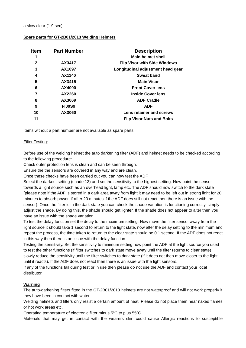#### **Spare parts for GT-2B01/2013 Welding Helmets**

| ltem        | <b>Part Number</b> | <b>Description</b>                  |
|-------------|--------------------|-------------------------------------|
| 1           |                    | <b>Main helmet shell</b>            |
| $\mathbf 2$ | AX3417             | <b>Flip Visor with Side Windows</b> |
| 3           | AX1097             | Longitudinal adjustment head gear   |
| 4           | AX1140             | Sweat band                          |
| 5           | AX3415             | <b>Main Visor</b>                   |
| 6           | AX4000             | <b>Front Cover lens</b>             |
| 7           | AX2260             | <b>Inside Cover lens</b>            |
| 8           | AX3069             | <b>ADF Cradle</b>                   |
| 9           | <b>FI00S9</b>      | <b>ADF</b>                          |
| 10          | AX3060             | Lens retainer and screws            |
| 11          |                    | <b>Flip Visor Nuts and Bolts</b>    |

Items without a part number are not available as spare parts

#### Filter Testing:

Before use of the welding helmet the auto darkening filter (ADF) and helmet needs to be checked according to the following procedure:

Check outer protection lens is clean and can be seen through.

Ensure the the sensors are covered in any way and are clean.

Once these checks have been carried out you can now test the ADF.

Select the darkest setting (shade 13) and set the sensitivity to the highest setting. Now point the sensor towards a light source such as an overhead light, lamp etc. The ADF should now switch to the dark state (please note if the ADF is stored in a dark area away from light it may need to be left out in strong light for 20 minutes to absorb power, if after 20 minutes if the ADF does still not react then there is an issue with the sensor). Once the filter is in the dark state you can check the shade variation is functioning correctly, simply adjust the shade. By doing this, the shade should get lighter. If the shade does not appear to alter then you have an issue with the shade variation.

To test the delay function set the delay to the maximum setting. Now move the filter sensor away from the light source it should take 1 second to return to the light state, now alter the delay setting to the minimum and repeat the process, the time taken to return to the clear state should be 0.1 second. If the ADF does not react in this way then there is an issue with the delay function.

Testing the sensitivity. Set the sensitivity to minimum setting now point the ADF at the light source you used to test the other functions (if filter switches to dark state move away until the filter returns to clear state) slowly reduce the sensitivity until the filter switches to dark state (if it does not then move closer to the light until it reacts). If the ADF does not react then there is an issue with the light sensors.

If any of the functions fail during test or in use then please do not use the ADF and contact your local distributor.

#### **Warning**

The auto-darkening filters fitted in the GT-2B01/2013 helmets are not waterproof and will not work properly if they have been in contact with water.

Welding helmets and filters only resist a certain amount of heat. Please do not place them near naked flames or hot work areas etc.

Operating temperature of electronic filter minus 5ºC to plus 55ºC.

Materials that may get in contact with the wearers skin could cause Allergic reactions to susceptible